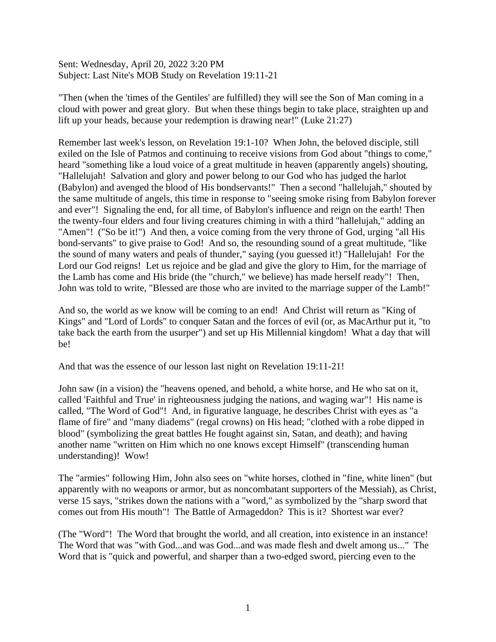Sent: Wednesday, April 20, 2022 3:20 PM Subject: Last Nite's MOB Study on Revelation 19:11-21

"Then (when the 'times of the Gentiles' are fulfilled) they will see the Son of Man coming in a cloud with power and great glory. But when these things begin to take place, straighten up and lift up your heads, because your redemption is drawing near!" (Luke 21:27)

Remember last week's lesson, on Revelation 19:1-10? When John, the beloved disciple, still exiled on the Isle of Patmos and continuing to receive visions from God about "things to come," heard "something like a loud voice of a great multitude in heaven (apparently angels) shouting, "Hallelujah! Salvation and glory and power belong to our God who has judged the harlot (Babylon) and avenged the blood of His bondservants!" Then a second "hallelujah," shouted by the same multitude of angels, this time in response to "seeing smoke rising from Babylon forever and ever"! Signaling the end, for all time, of Babylon's influence and reign on the earth! Then the twenty-four elders and four living creatures chiming in with a third "hallelujah," adding an "Amen"! ("So be it!") And then, a voice coming from the very throne of God, urging "all His bond-servants" to give praise to God! And so, the resounding sound of a great multitude, "like the sound of many waters and peals of thunder," saying (you guessed it!) "Hallelujah! For the Lord our God reigns! Let us rejoice and be glad and give the glory to Him, for the marriage of the Lamb has come and His bride (the "church," we believe) has made herself ready"! Then, John was told to write, "Blessed are those who are invited to the marriage supper of the Lamb!"

And so, the world as we know will be coming to an end! And Christ will return as "King of Kings" and "Lord of Lords" to conquer Satan and the forces of evil (or, as MacArthur put it, "to take back the earth from the usurper") and set up His Millennial kingdom! What a day that will be!

And that was the essence of our lesson last night on Revelation 19:11-21!

John saw (in a vision) the "heavens opened, and behold, a white horse, and He who sat on it, called 'Faithful and True' in righteousness judging the nations, and waging war"! His name is called, "The Word of God"! And, in figurative language, he describes Christ with eyes as "a flame of fire" and "many diadems" (regal crowns) on His head; "clothed with a robe dipped in blood" (symbolizing the great battles He fought against sin, Satan, and death); and having another name "written on Him which no one knows except Himself" (transcending human understanding)! Wow!

The "armies" following Him, John also sees on "white horses, clothed in "fine, white linen" (but apparently with no weapons or armor, but as noncombatant supporters of the Messiah), as Christ, verse 15 says, "strikes down the nations with a "word," as symbolized by the "sharp sword that comes out from His mouth"! The Battle of Armageddon? This is it? Shortest war ever?

(The "Word"! The Word that brought the world, and all creation, into existence in an instance! The Word that was "with God...and was God...and was made flesh and dwelt among us..." The Word that is "quick and powerful, and sharper than a two-edged sword, piercing even to the